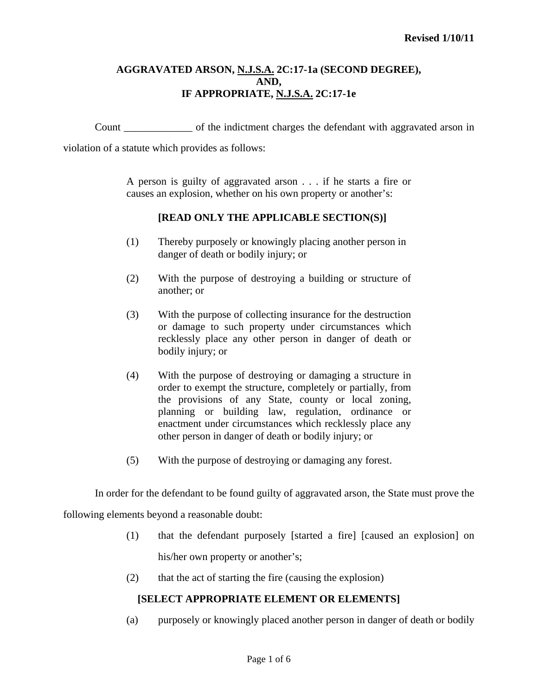## **AGGRAVATED ARSON, N.J.S.A. 2C:17-1a (SECOND DEGREE), AND, IF APPROPRIATE, N.J.S.A. 2C:17-1e**

Count \_\_\_\_\_\_\_\_\_\_\_\_\_ of the indictment charges the defendant with aggravated arson in

violation of a statute which provides as follows:

A person is guilty of aggravated arson . . . if he starts a fire or causes an explosion, whether on his own property or another's:

## **[READ ONLY THE APPLICABLE SECTION(S)]**

- (1) Thereby purposely or knowingly placing another person in danger of death or bodily injury; or
- (2) With the purpose of destroying a building or structure of another; or
- (3) With the purpose of collecting insurance for the destruction or damage to such property under circumstances which recklessly place any other person in danger of death or bodily injury; or
- (4) With the purpose of destroying or damaging a structure in order to exempt the structure, completely or partially, from the provisions of any State, county or local zoning, planning or building law, regulation, ordinance or enactment under circumstances which recklessly place any other person in danger of death or bodily injury; or
- (5) With the purpose of destroying or damaging any forest.

 In order for the defendant to be found guilty of aggravated arson, the State must prove the following elements beyond a reasonable doubt:

- (1) that the defendant purposely [started a fire] [caused an explosion] on his/her own property or another's;
- (2) that the act of starting the fire (causing the explosion)

# **[SELECT APPROPRIATE ELEMENT OR ELEMENTS]**

(a) purposely or knowingly placed another person in danger of death or bodily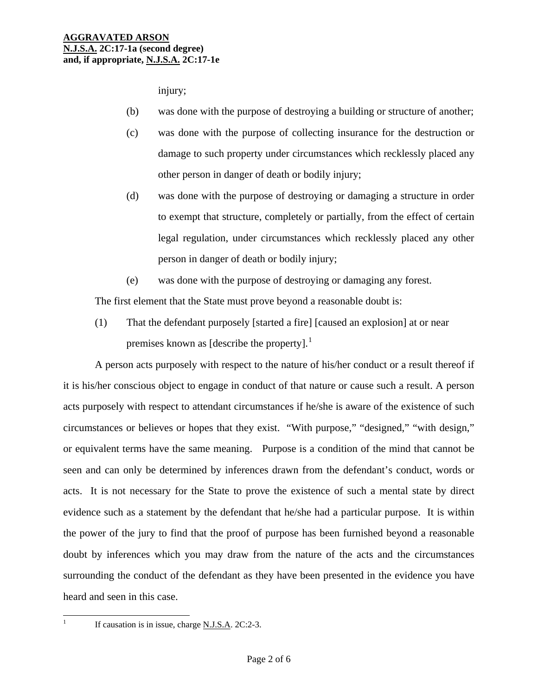injury;

- (b) was done with the purpose of destroying a building or structure of another;
- (c) was done with the purpose of collecting insurance for the destruction or damage to such property under circumstances which recklessly placed any other person in danger of death or bodily injury;
- (d) was done with the purpose of destroying or damaging a structure in order to exempt that structure, completely or partially, from the effect of certain legal regulation, under circumstances which recklessly placed any other person in danger of death or bodily injury;
- (e) was done with the purpose of destroying or damaging any forest.

The first element that the State must prove beyond a reasonable doubt is:

 (1) That the defendant purposely [started a fire] [caused an explosion] at or near premises known as [describe the property]. $<sup>1</sup>$  $<sup>1</sup>$  $<sup>1</sup>$ </sup>

 A person acts purposely with respect to the nature of his/her conduct or a result thereof if it is his/her conscious object to engage in conduct of that nature or cause such a result. A person acts purposely with respect to attendant circumstances if he/she is aware of the existence of such circumstances or believes or hopes that they exist. "With purpose," "designed," "with design," or equivalent terms have the same meaning. Purpose is a condition of the mind that cannot be seen and can only be determined by inferences drawn from the defendant's conduct, words or acts. It is not necessary for the State to prove the existence of such a mental state by direct evidence such as a statement by the defendant that he/she had a particular purpose. It is within the power of the jury to find that the proof of purpose has been furnished beyond a reasonable doubt by inferences which you may draw from the nature of the acts and the circumstances surrounding the conduct of the defendant as they have been presented in the evidence you have heard and seen in this case.

<span id="page-1-0"></span> $\frac{1}{1}$ 

If causation is in issue, charge N.J.S.A. 2C:2-3.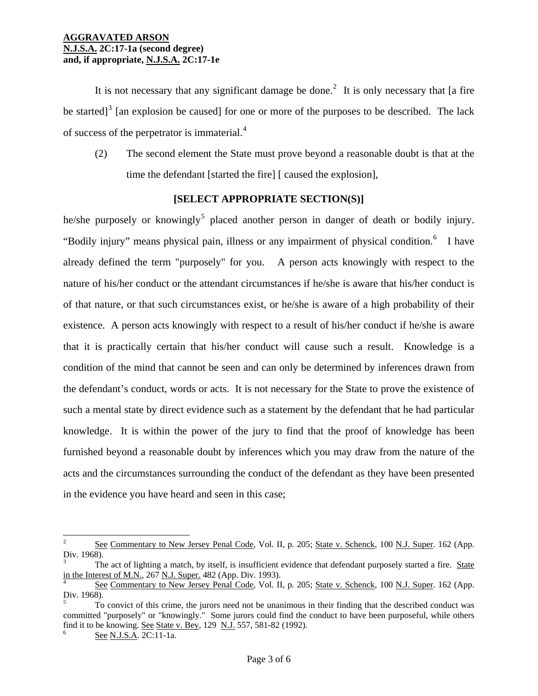It is not necessary that any significant damage be done.<sup>[2](#page-1-0)</sup> It is only necessary that [a fire be started]<sup>[3](#page-2-0)</sup> [an explosion be caused] for one or more of the purposes to be described. The lack of success of the perpetrator is immaterial.[4](#page-2-1)

(2) The second element the State must prove beyond a reasonable doubt is that at the time the defendant [started the fire] [ caused the explosion],

# **[SELECT APPROPRIATE SECTION(S)]**

he/she purposely or knowingly<sup>[5](#page-2-2)</sup> placed another person in danger of death or bodily injury. "Bodily injury" means physical pain, illness or any impairment of physical condition.<sup>[6](#page-2-3)</sup> I have already defined the term "purposely" for you. A person acts knowingly with respect to the nature of his/her conduct or the attendant circumstances if he/she is aware that his/her conduct is of that nature, or that such circumstances exist, or he/she is aware of a high probability of their existence. A person acts knowingly with respect to a result of his/her conduct if he/she is aware that it is practically certain that his/her conduct will cause such a result. Knowledge is a condition of the mind that cannot be seen and can only be determined by inferences drawn from the defendant's conduct, words or acts. It is not necessary for the State to prove the existence of such a mental state by direct evidence such as a statement by the defendant that he had particular knowledge. It is within the power of the jury to find that the proof of knowledge has been furnished beyond a reasonable doubt by inferences which you may draw from the nature of the acts and the circumstances surrounding the conduct of the defendant as they have been presented in the evidence you have heard and seen in this case;

 $\frac{1}{2}$ See Commentary to New Jersey Penal Code, Vol. II, p. 205; State v. Schenck, 100 N.J. Super. 162 (App. Div. 1968).

<span id="page-2-4"></span><span id="page-2-0"></span><sup>3</sup> The act of lighting a match, by itself, is insufficient evidence that defendant purposely started a fire. State in the Interest of M.N., 267 N.J. Super. 482 (App. Div. 1993).

<span id="page-2-1"></span>See Commentary to New Jersey Penal Code, Vol. II, p. 205; State v. Schenck, 100 N.J. Super. 162 (App. Div. 1968).

<span id="page-2-3"></span><span id="page-2-2"></span><sup>5</sup> To convict of this crime, the jurors need not be unanimous in their finding that the described conduct was committed "purposely" or "knowingly." Some jurors could find the conduct to have been purposeful, while others find it to be knowing. See State v. Bey, 129 N.J. 557, 581-82 (1992).

See N.J.S.A. 2C:11-1a.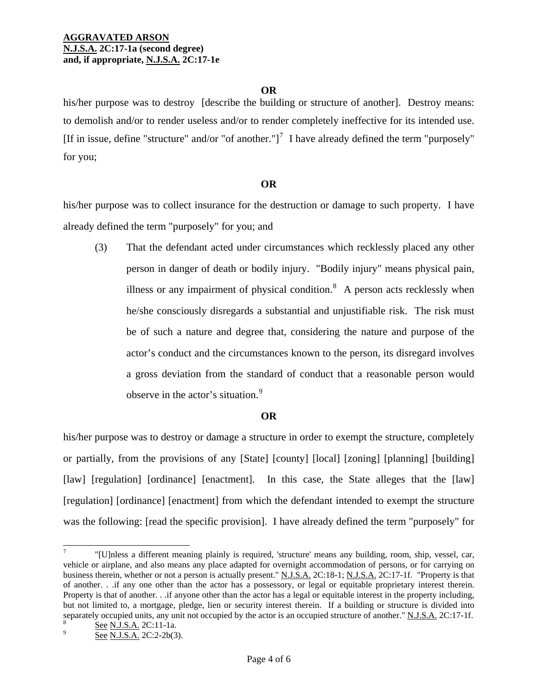### **OR**

his/her purpose was to destroy [describe the building or structure of another].Destroy means: to demolish and/or to render useless and/or to render completely ineffective for its intended use. [If in issue, define "structure" and/or "of another."]<sup>[7](#page-2-4)</sup> I have already defined the term "purposely" for you;

## **OR**

his/her purpose was to collect insurance for the destruction or damage to such property. I have already defined the term "purposely" for you; and

(3) That the defendant acted under circumstances which recklessly placed any other person in danger of death or bodily injury. "Bodily injury" means physical pain, illness or any impairment of physical condition. $8$  A person acts recklessly when he/she consciously disregards a substantial and unjustifiable risk. The risk must be of such a nature and degree that, considering the nature and purpose of the actor's conduct and the circumstances known to the person, its disregard involves a gross deviation from the standard of conduct that a reasonable person would observe in the actor's situation.<sup>[9](#page-3-2)</sup>

# **OR**

his/her purpose was to destroy or damage a structure in order to exempt the structure, completely or partially, from the provisions of any [State] [county] [local] [zoning] [planning] [building] [law] [regulation] [ordinance] [enactment]. In this case, the State alleges that the [law] [regulation] [ordinance] [enactment] from which the defendant intended to exempt the structure was the following: [read the specific provision]. I have already defined the term "purposely" for

 $\overline{a}$ 

<sup>7</sup> "[U]nless a different meaning plainly is required, 'structure' means any building, room, ship, vessel, car, vehicle or airplane, and also means any place adapted for overnight accommodation of persons, or for carrying on business therein, whether or not a person is actually present." N.J.S.A. 2C:18-1; N.J.S.A. 2C:17-1f. "Property is that of another. . .if any one other than the actor has a possessory, or legal or equitable proprietary interest therein. Property is that of another. . .if anyone other than the actor has a legal or equitable interest in the property including, but not limited to, a mortgage, pledge, lien or security interest therein. If a building or structure is divided into separately occupied units, any unit not occupied by the actor is an occupied structure of another." N.J.S.A. 2C:17-1f.

<span id="page-3-3"></span><span id="page-3-2"></span><span id="page-3-1"></span><span id="page-3-0"></span>See N.J.S.A. 2C:2-2b(3).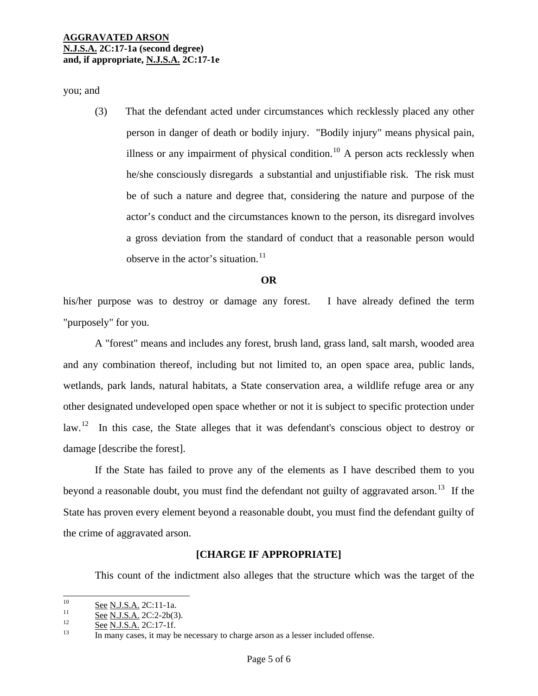you; and

(3) That the defendant acted under circumstances which recklessly placed any other person in danger of death or bodily injury. "Bodily injury" means physical pain, illness or any impairment of physical condition.<sup>[10](#page-3-3)</sup> A person acts recklessly when he/she consciously disregards a substantial and unjustifiable risk. The risk must be of such a nature and degree that, considering the nature and purpose of the actor's conduct and the circumstances known to the person, its disregard involves a gross deviation from the standard of conduct that a reasonable person would observe in the actor's situation. $11$ 

#### **OR**

his/her purpose was to destroy or damage any forest. I have already defined the term "purposely" for you.

 A "forest" means and includes any forest, brush land, grass land, salt marsh, wooded area and any combination thereof, including but not limited to, an open space area, public lands, wetlands, park lands, natural habitats, a State conservation area, a wildlife refuge area or any other designated undeveloped open space whether or not it is subject to specific protection under law.<sup>[12](#page-4-1)</sup> In this case, the State alleges that it was defendant's conscious object to destroy or damage [describe the forest].

 If the State has failed to prove any of the elements as I have described them to you beyond a reasonable doubt, you must find the defendant not guilty of aggravated arson.<sup>[13](#page-4-2)</sup> If the State has proven every element beyond a reasonable doubt, you must find the defendant guilty of the crime of aggravated arson.

## **[CHARGE IF APPROPRIATE]**

This count of the indictment also alleges that the structure which was the target of the

<span id="page-4-3"></span> $10<sup>10</sup>$ 

<span id="page-4-2"></span><span id="page-4-1"></span><span id="page-4-0"></span>

<sup>&</sup>lt;sup>10</sup> See N.J.S.A. 2C:11-1a.<br><sup>11</sup> See N.J.S.A. 2C:2-2b(3).<br><sup>12</sup> See N.J.S.A. 2C:17-1f.<br><sup>13</sup> In many cases, it may be necessary to charge arson as a lesser included offense.